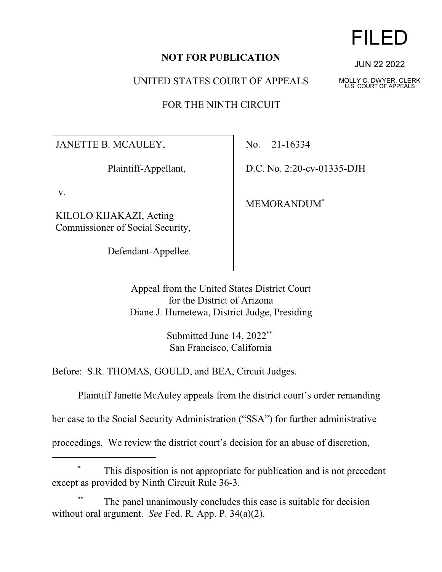## **NOT FOR PUBLICATION**

UNITED STATES COURT OF APPEALS

FOR THE NINTH CIRCUIT

JANETTE B. MCAULEY,

Plaintiff-Appellant,

v.

KILOLO KIJAKAZI, Acting Commissioner of Social Security,

Defendant-Appellee.

No. 21-16334

D.C. No. 2:20-cv-01335-DJH

MEMORANDUM\*

Appeal from the United States District Court for the District of Arizona Diane J. Humetewa, District Judge, Presiding

> Submitted June 14, 2022\*\* San Francisco, California

Before: S.R. THOMAS, GOULD, and BEA, Circuit Judges.

Plaintiff Janette McAuley appeals from the district court's order remanding

her case to the Social Security Administration ("SSA") for further administrative

proceedings. We review the district court's decision for an abuse of discretion,

## This disposition is not appropriate for publication and is not precedent except as provided by Ninth Circuit Rule 36-3.

The panel unanimously concludes this case is suitable for decision without oral argument. *See* Fed. R. App. P. 34(a)(2).

## FILED

JUN 22 2022

MOLLY C. DWYER, CLERK U.S. COURT OF APPEALS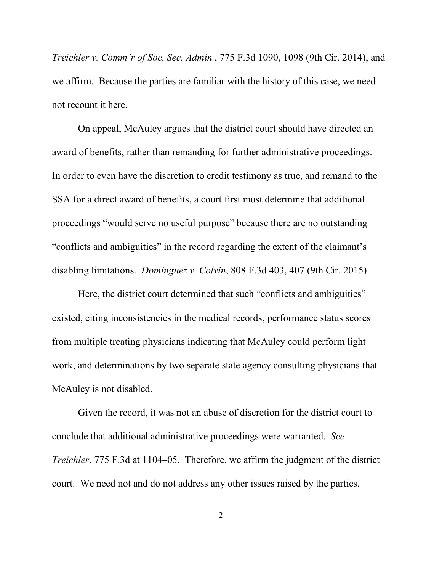*Treichler v. Comm'r of Soc. Sec. Admin.*, 775 F.3d 1090, 1098 (9th Cir. 2014), and we affirm. Because the parties are familiar with the history of this case, we need not recount it here.

On appeal, McAuley argues that the district court should have directed an award of benefits, rather than remanding for further administrative proceedings. In order to even have the discretion to credit testimony as true, and remand to the SSA for a direct award of benefits, a court first must determine that additional proceedings "would serve no useful purpose" because there are no outstanding "conflicts and ambiguities" in the record regarding the extent of the claimant's disabling limitations. *Dominguez v. Colvin*, 808 F.3d 403, 407 (9th Cir. 2015).

Here, the district court determined that such "conflicts and ambiguities" existed, citing inconsistencies in the medical records, performance status scores from multiple treating physicians indicating that McAuley could perform light work, and determinations by two separate state agency consulting physicians that McAuley is not disabled.

Given the record, it was not an abuse of discretion for the district court to conclude that additional administrative proceedings were warranted. *See Treichler*, 775 F.3d at 1104**–**05. Therefore, we affirm the judgment of the district court. We need not and do not address any other issues raised by the parties.